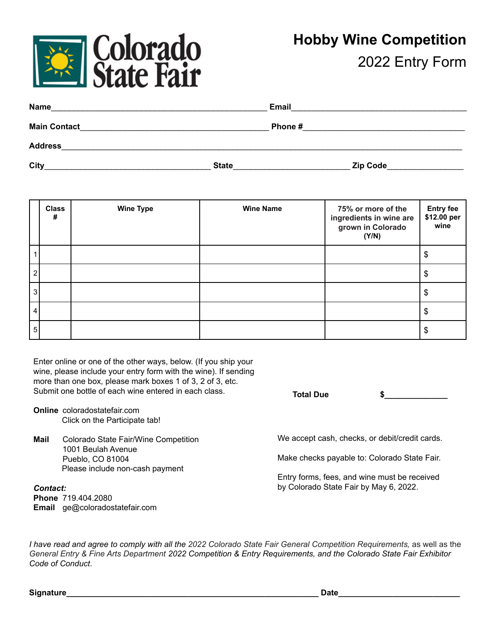

| Name                |              | <b>Email</b>    |  |
|---------------------|--------------|-----------------|--|
| <b>Main Contact</b> |              | Phone#          |  |
| <b>Address</b>      |              |                 |  |
| <b>City</b>         | <b>State</b> | <b>Zip Code</b> |  |

|   | <b>Class</b><br># | <b>Wine Type</b> | <b>Wine Name</b> | 75% or more of the<br>ingredients in wine are<br>grown in Colorado<br>(Y/N) | <b>Entry fee</b><br>\$12.00 per<br>wine |
|---|-------------------|------------------|------------------|-----------------------------------------------------------------------------|-----------------------------------------|
|   |                   |                  |                  |                                                                             | \$                                      |
|   |                   |                  |                  |                                                                             | \$                                      |
| 3 |                   |                  |                  |                                                                             | S                                       |
|   |                   |                  |                  |                                                                             | S                                       |
| 5 |                   |                  |                  |                                                                             | \$                                      |

Enter online or one of the other ways, below. (If you ship your wine, please include your entry form with the wine). If sending more than one box, please mark boxes 1 of 3, 2 of 3, etc. Submit one bottle of each wine entered in each class.

- **Online** coloradostatefair.com Click on the Participate tab!
- **Mail** Colorado State Fair/Wine Competition 1001 Beulah Avenue Pueblo, CO 81004 Please include non-cash payment

*Contact:* **Phone** 719.404.2080 **Email** ge@coloradostatefair.com **Total Due \$\_\_\_\_\_\_\_\_\_\_\_\_\_\_**

We accept cash, checks, or debit/credit cards.

Make checks payable to: Colorado State Fair.

Entry forms, fees, and wine must be received by Colorado State Fair by May 6, 2022.

I have read and agree to comply with all the 2022 Colorado State Fair General Competition Requirements, as well as the General Entry & Fine Arts Department 2022 Competition & Entry Requirements, and the Colorado State Fair Exhibitor *Code of Conduct*.

**Signature\_\_\_\_\_\_\_\_\_\_\_\_\_\_\_\_\_\_\_\_\_\_\_\_\_\_\_\_\_\_\_\_\_\_\_\_\_\_\_\_\_\_\_\_\_\_\_\_\_\_\_\_\_\_\_\_ Date\_\_\_\_\_\_\_\_\_\_\_\_\_\_\_\_\_\_\_\_\_\_\_\_\_\_\_**